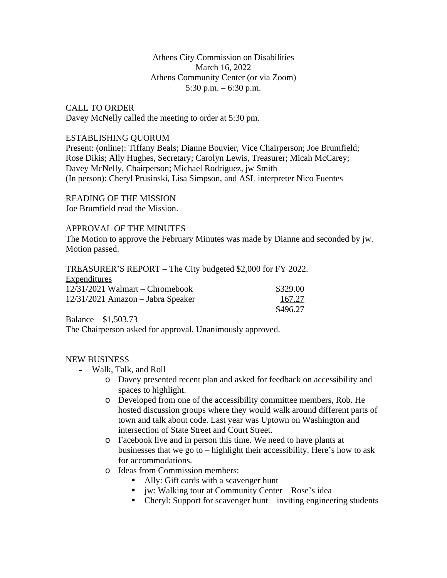### Athens City Commission on Disabilities March 16, 2022 Athens Community Center (or via Zoom) 5:30 p.m. – 6:30 p.m.

CALL TO ORDER Davey McNelly called the meeting to order at 5:30 pm.

### ESTABLISHING QUORUM

Present: (online): Tiffany Beals; Dianne Bouvier, Vice Chairperson; Joe Brumfield; Rose Dikis; Ally Hughes, Secretary; Carolyn Lewis, Treasurer; Micah McCarey; Davey McNelly, Chairperson; Michael Rodriguez, jw Smith (In person): Cheryl Prusinski, Lisa Simpson, and ASL interpreter Nico Fuentes

READING OF THE MISSION Joe Brumfield read the Mission.

### APPROVAL OF THE MINUTES

The Motion to approve the February Minutes was made by Dianne and seconded by jw. Motion passed.

TREASURER'S REPORT – The City budgeted \$2,000 for FY 2022. Expenditures 12/31/2021 Walmart – Chromebook \$329.00

| $12/31/2021$ Amazon - Jabra Speaker | 167.27   |
|-------------------------------------|----------|
|                                     | \$496.27 |

Balance \$1,503.73

The Chairperson asked for approval. Unanimously approved.

### NEW BUSINESS

- Walk, Talk, and Roll
	- o Davey presented recent plan and asked for feedback on accessibility and spaces to highlight.
	- o Developed from one of the accessibility committee members, Rob. He hosted discussion groups where they would walk around different parts of town and talk about code. Last year was Uptown on Washington and intersection of State Street and Court Street.
	- o Facebook live and in person this time. We need to have plants at businesses that we go to – highlight their accessibility. Here's how to ask for accommodations.
	- o Ideas from Commission members:
		- Ally: Gift cards with a scavenger hunt
		- $\blacksquare$  iw: Walking tour at Community Center Rose's idea
		- Cheryl: Support for scavenger hunt inviting engineering students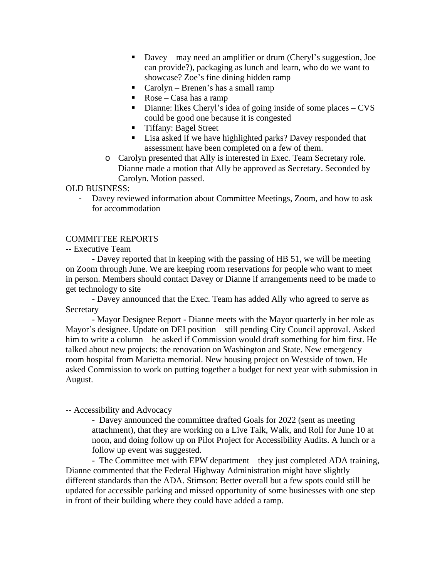- Davey may need an amplifier or drum (Cheryl's suggestion, Joe can provide?), packaging as lunch and learn, who do we want to showcase? Zoe's fine dining hidden ramp
- Carolyn Brenen's has a small ramp
- Rose Casa has a ramp
- Dianne: likes Cheryl's idea of going inside of some places  $-CVS$ could be good one because it is congested
- **Tiffany: Bagel Street**
- Lisa asked if we have highlighted parks? Davey responded that assessment have been completed on a few of them.
- o Carolyn presented that Ally is interested in Exec. Team Secretary role. Dianne made a motion that Ally be approved as Secretary. Seconded by Carolyn. Motion passed.

OLD BUSINESS:

- Davey reviewed information about Committee Meetings, Zoom, and how to ask for accommodation

## COMMITTEE REPORTS

-- Executive Team

- Davey reported that in keeping with the passing of HB 51, we will be meeting on Zoom through June. We are keeping room reservations for people who want to meet in person. Members should contact Davey or Dianne if arrangements need to be made to get technology to site

- Davey announced that the Exec. Team has added Ally who agreed to serve as **Secretary** 

- Mayor Designee Report - Dianne meets with the Mayor quarterly in her role as Mayor's designee. Update on DEI position – still pending City Council approval. Asked him to write a column – he asked if Commission would draft something for him first. He talked about new projects: the renovation on Washington and State. New emergency room hospital from Marietta memorial. New housing project on Westside of town. He asked Commission to work on putting together a budget for next year with submission in August.

### -- Accessibility and Advocacy

- Davey announced the committee drafted Goals for 2022 (sent as meeting attachment), that they are working on a Live Talk, Walk, and Roll for June 10 at noon, and doing follow up on Pilot Project for Accessibility Audits. A lunch or a follow up event was suggested.

- The Committee met with EPW department – they just completed ADA training, Dianne commented that the Federal Highway Administration might have slightly different standards than the ADA. Stimson: Better overall but a few spots could still be updated for accessible parking and missed opportunity of some businesses with one step in front of their building where they could have added a ramp.